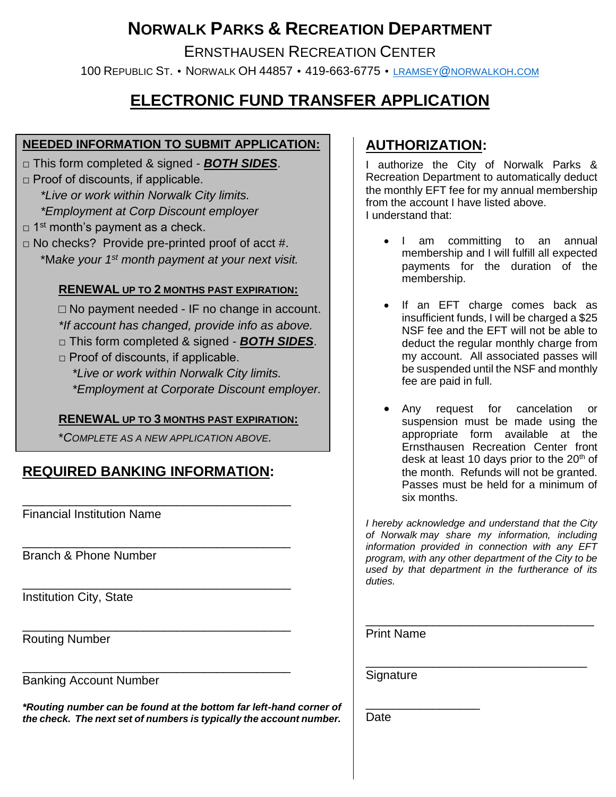# **NORWALK PARKS & RECREATION DEPARTMENT**

ERNSTHAUSEN RECREATION CENTER

100 REPUBLIC ST. • NORWALK OH 44857 • 419-663-6775 • LRAMSEY@[NORWALKOH](mailto:lramsey@norwalkoh.com).COM

## **ELECTRONIC FUND TRANSFER APPLICATION**

#### **NEEDED INFORMATION TO SUBMIT APPLICATION:**

- □ This form completed & signed *BOTH SIDES*.
- $\Box$  Proof of discounts, if applicable. *\*Live or work within Norwalk City limits. \*Employment at Corp Discount employer*
- $\Box$  1<sup>st</sup> month's payment as a check.
- $\Box$  No checks? Provide pre-printed proof of acct #. \*M*ake your 1st month payment at your next visit.*

#### **RENEWAL UP TO 2 MONTHS PAST EXPIRATION:**

 $\Box$  No payment needed - IF no change in account. *\*If account has changed, provide info as above.* □ This form completed & signed - *BOTH SIDES*.  $\Box$  Proof of discounts, if applicable.

*\*Live or work within Norwalk City limits. \*Employment at Corporate Discount employer.*

#### **RENEWAL UP TO 3 MONTHS PAST EXPIRATION:**

\**COMPLETE AS A NEW APPLICATION ABOVE.*

## **REQUIRED BANKING INFORMATION:**

\_\_\_\_\_\_\_\_\_\_\_\_\_\_\_\_\_\_\_\_\_\_\_\_\_\_\_\_\_\_\_\_\_\_\_\_\_\_\_\_

\_\_\_\_\_\_\_\_\_\_\_\_\_\_\_\_\_\_\_\_\_\_\_\_\_\_\_\_\_\_\_\_\_\_\_\_\_\_\_\_

\_\_\_\_\_\_\_\_\_\_\_\_\_\_\_\_\_\_\_\_\_\_\_\_\_\_\_\_\_\_\_\_\_\_\_\_\_\_\_\_

\_\_\_\_\_\_\_\_\_\_\_\_\_\_\_\_\_\_\_\_\_\_\_\_\_\_\_\_\_\_\_\_\_\_\_\_\_\_\_\_

\_\_\_\_\_\_\_\_\_\_\_\_\_\_\_\_\_\_\_\_\_\_\_\_\_\_\_\_\_\_\_\_\_\_\_\_\_\_\_\_ Financial Institution Name

Branch & Phone Number

Institution City, State

Routing Number

Banking Account Number

*\*Routing number can be found at the bottom far left-hand corner of the check. The next set of numbers is typically the account number.*

### **AUTHORIZATION:**

I authorize the City of Norwalk Parks & Recreation Department to automatically deduct the monthly EFT fee for my annual membership from the account I have listed above. I understand that:

- I am committing to an annual membership and I will fulfill all expected payments for the duration of the membership.
- If an EFT charge comes back as insufficient funds, I will be charged a \$25 NSF fee and the EFT will not be able to deduct the regular monthly charge from my account. All associated passes will be suspended until the NSF and monthly fee are paid in full.
- Any request for cancelation or suspension must be made using the appropriate form available at the Ernsthausen Recreation Center front desk at least 10 days prior to the  $20<sup>th</sup>$  of the month. Refunds will not be granted. Passes must be held for a minimum of six months.

*I hereby acknowledge and understand that the City of Norwalk may share my information, including information provided in connection with any EFT program, with any other department of the City to be used by that department in the furtherance of its duties.*

\_\_\_\_\_\_\_\_\_\_\_\_\_\_\_\_\_\_\_\_\_\_\_\_\_\_\_\_\_\_\_\_\_\_

\_\_\_\_\_\_\_\_\_\_\_\_\_\_\_\_\_\_\_\_\_\_\_\_\_\_\_\_\_\_\_\_\_

Print Name

**Signature** 

\_\_\_\_\_\_\_\_\_\_\_\_\_\_\_\_\_ Date